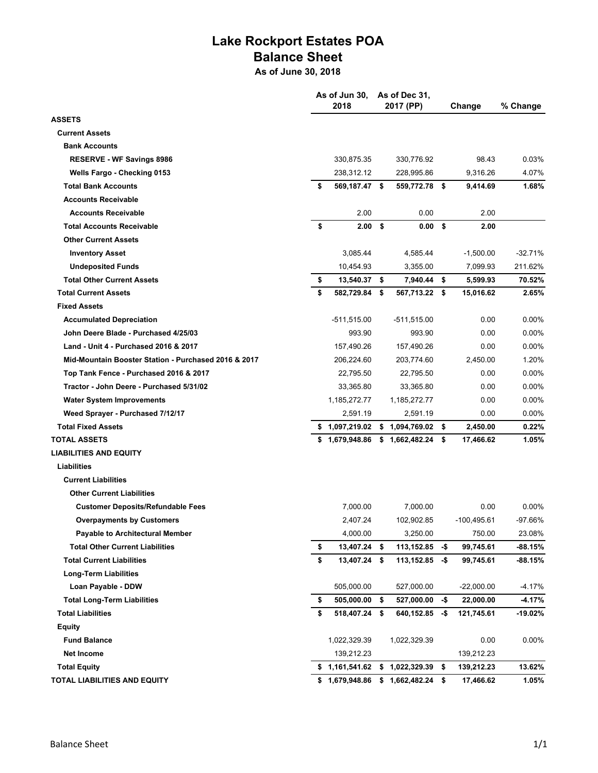## **Lake Rockport Estates POA Balance Sheet**

**As of June 30, 2018**

|                                                      |    | As of Jun 30,<br>2018 |      | As of Dec 31,<br>2017 (PP) | Change |               | % Change  |  |
|------------------------------------------------------|----|-----------------------|------|----------------------------|--------|---------------|-----------|--|
| <b>ASSETS</b>                                        |    |                       |      |                            |        |               |           |  |
| <b>Current Assets</b>                                |    |                       |      |                            |        |               |           |  |
| <b>Bank Accounts</b>                                 |    |                       |      |                            |        |               |           |  |
| <b>RESERVE - WF Savings 8986</b>                     |    | 330,875.35            |      | 330,776.92                 |        | 98.43         | 0.03%     |  |
| Wells Fargo - Checking 0153                          |    | 238,312.12            |      | 228,995.86                 |        | 9,316.26      | 4.07%     |  |
| <b>Total Bank Accounts</b>                           | S  | 569,187.47 \$         |      | 559,772.78 \$              |        | 9,414.69      | 1.68%     |  |
| <b>Accounts Receivable</b>                           |    |                       |      |                            |        |               |           |  |
| <b>Accounts Receivable</b>                           |    | 2.00                  |      | 0.00                       |        | 2.00          |           |  |
| <b>Total Accounts Receivable</b>                     | \$ | $2.00$ \$             |      | 0.00 S                     |        | 2.00          |           |  |
| <b>Other Current Assets</b>                          |    |                       |      |                            |        |               |           |  |
| <b>Inventory Asset</b>                               |    | 3,085.44              |      | 4,585.44                   |        | $-1,500.00$   | $-32.71%$ |  |
| <b>Undeposited Funds</b>                             |    | 10,454.93             |      | 3,355.00                   |        | 7,099.93      | 211.62%   |  |
| <b>Total Other Current Assets</b>                    | \$ | 13,540.37 \$          |      | 7,940.44 \$                |        | 5,599.93      | 70.52%    |  |
| <b>Total Current Assets</b>                          | \$ | 582,729.84            | - \$ | 567,713.22 \$              |        | 15,016.62     | 2.65%     |  |
| <b>Fixed Assets</b>                                  |    |                       |      |                            |        |               |           |  |
| <b>Accumulated Depreciation</b>                      |    | $-511,515.00$         |      | $-511,515.00$              |        | 0.00          | 0.00%     |  |
| John Deere Blade - Purchased 4/25/03                 |    | 993.90                |      | 993.90                     |        | 0.00          | 0.00%     |  |
| Land - Unit 4 - Purchased 2016 & 2017                |    | 157,490.26            |      | 157,490.26                 |        | 0.00          | 0.00%     |  |
| Mid-Mountain Booster Station - Purchased 2016 & 2017 |    | 206,224.60            |      | 203,774.60                 |        | 2,450.00      | 1.20%     |  |
| Top Tank Fence - Purchased 2016 & 2017               |    | 22,795.50             |      | 22,795.50                  |        | 0.00          | 0.00%     |  |
| Tractor - John Deere - Purchased 5/31/02             |    | 33,365.80             |      | 33,365.80                  |        | 0.00          | 0.00%     |  |
| <b>Water System Improvements</b>                     |    | 1,185,272.77          |      | 1,185,272.77               |        | 0.00          | $0.00\%$  |  |
| Weed Sprayer - Purchased 7/12/17                     |    | 2,591.19              |      | 2,591.19                   |        | 0.00          | 0.00%     |  |
| <b>Total Fixed Assets</b>                            |    | \$1,097,219.02        |      | \$1,094,769.02             | \$     | 2,450.00      | 0.22%     |  |
| <b>TOTAL ASSETS</b>                                  |    | \$1,679,948.86        |      | $$1,662,482.24$ \$         |        | 17,466.62     | 1.05%     |  |
| <b>LIABILITIES AND EQUITY</b>                        |    |                       |      |                            |        |               |           |  |
| Liabilities                                          |    |                       |      |                            |        |               |           |  |
| <b>Current Liabilities</b>                           |    |                       |      |                            |        |               |           |  |
| <b>Other Current Liabilities</b>                     |    |                       |      |                            |        |               |           |  |
| <b>Customer Deposits/Refundable Fees</b>             |    | 7,000.00              |      | 7,000.00                   |        | 0.00          | $0.00\%$  |  |
| <b>Overpayments by Customers</b>                     |    | 2,407.24              |      | 102,902.85                 |        | $-100,495.61$ | $-97.66%$ |  |
| <b>Payable to Architectural Member</b>               |    | 4,000.00              |      | 3,250.00                   |        | 750.00        | 23.08%    |  |
| <b>Total Other Current Liabilities</b>               | \$ | 13,407.24             | \$   | 113,152.85                 | -\$    | 99,745.61     | $-88.15%$ |  |
| <b>Total Current Liabilities</b>                     | \$ | 13,407.24 \$          |      | $113,152.85 - $$           |        | 99,745.61     | -88.15%   |  |
| <b>Long-Term Liabilities</b>                         |    |                       |      |                            |        |               |           |  |
| Loan Payable - DDW                                   |    | 505,000.00            |      | 527,000.00                 |        | $-22,000.00$  | $-4.17%$  |  |
| <b>Total Long-Term Liabilities</b>                   | \$ | 505,000.00            | \$   | 527,000.00                 | -\$    | 22,000.00     | $-4.17%$  |  |
| <b>Total Liabilities</b>                             | \$ | 518,407.24 \$         |      | 640,152.85                 | -\$    | 121,745.61    | -19.02%   |  |
| <b>Equity</b>                                        |    |                       |      |                            |        |               |           |  |
| <b>Fund Balance</b>                                  |    | 1,022,329.39          |      | 1,022,329.39               |        | 0.00          | 0.00%     |  |
| <b>Net Income</b>                                    |    | 139,212.23            |      |                            |        | 139,212.23    |           |  |
| <b>Total Equity</b>                                  |    | \$1,161,541.62        |      | \$1,022,329.39             | \$     | 139,212.23    | 13.62%    |  |
| <b>TOTAL LIABILITIES AND EQUITY</b>                  |    | \$1,679,948.86        |      | $$1,662,482.24$ \$         |        | 17,466.62     | 1.05%     |  |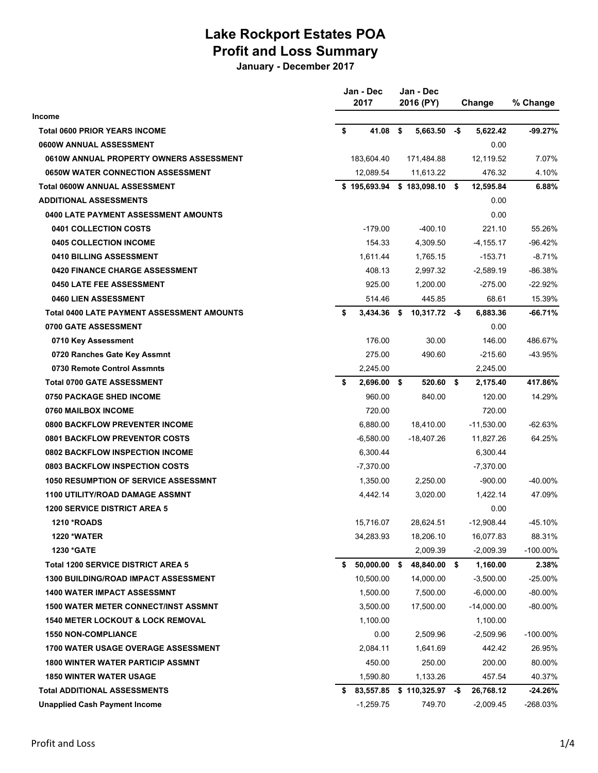## **Lake Rockport Estates POA Profit and Loss Summary**

**January - December 2017**

|                                              | Jan - Dec |              | Jan - Dec<br>2016 (PY) |                   | Change | % Change     |             |
|----------------------------------------------|-----------|--------------|------------------------|-------------------|--------|--------------|-------------|
| <b>Income</b>                                |           |              |                        |                   |        |              |             |
| <b>Total 0600 PRIOR YEARS INCOME</b>         | \$        | 41.08        | \$                     | 5,663.50          | -\$    | 5,622.42     | -99.27%     |
| 0600W ANNUAL ASSESSMENT                      |           |              |                        |                   |        | 0.00         |             |
| 0610W ANNUAL PROPERTY OWNERS ASSESSMENT      |           | 183,604.40   |                        | 171,484.88        |        | 12,119.52    | 7.07%       |
| 0650W WATER CONNECTION ASSESSMENT            |           | 12,089.54    |                        | 11,613.22         |        | 476.32       | 4.10%       |
| <b>Total 0600W ANNUAL ASSESSMENT</b>         |           | \$195,693.94 |                        | $$183,098.10$ \$  |        | 12,595.84    | 6.88%       |
| <b>ADDITIONAL ASSESSMENTS</b>                |           |              |                        |                   |        | 0.00         |             |
| 0400 LATE PAYMENT ASSESSMENT AMOUNTS         |           |              |                        |                   |        | 0.00         |             |
| 0401 COLLECTION COSTS                        |           | $-179.00$    |                        | $-400.10$         |        | 221.10       | 55.26%      |
| 0405 COLLECTION INCOME                       |           | 154.33       |                        | 4,309.50          |        | $-4, 155.17$ | $-96.42%$   |
| 0410 BILLING ASSESSMENT                      |           | 1,611.44     |                        | 1,765.15          |        | $-153.71$    | $-8.71%$    |
| 0420 FINANCE CHARGE ASSESSMENT               |           | 408.13       |                        | 2,997.32          |        | $-2,589.19$  | -86.38%     |
| <b>0450 LATE FEE ASSESSMENT</b>              |           | 925.00       |                        | 1,200.00          |        | $-275.00$    | $-22.92%$   |
| 0460 LIEN ASSESSMENT                         |           | 514.46       |                        | 445.85            |        | 68.61        | 15.39%      |
| Total 0400 LATE PAYMENT ASSESSMENT AMOUNTS   | \$        | 3,434.36     | \$                     | $10,317.72 - $$   |        | 6,883.36     | -66.71%     |
| 0700 GATE ASSESSMENT                         |           |              |                        |                   |        | 0.00         |             |
| 0710 Key Assessment                          |           | 176.00       |                        | 30.00             |        | 146.00       | 486.67%     |
| 0720 Ranches Gate Key Assmnt                 |           | 275.00       |                        | 490.60            |        | $-215.60$    | -43.95%     |
| 0730 Remote Control Assmnts                  |           | 2,245.00     |                        |                   |        | 2,245.00     |             |
| <b>Total 0700 GATE ASSESSMENT</b>            | \$        | 2,696.00     | \$                     | 520.60            | - \$   | 2,175.40     | 417.86%     |
| 0750 PACKAGE SHED INCOME                     |           | 960.00       |                        | 840.00            |        | 120.00       | 14.29%      |
| 0760 MAILBOX INCOME                          |           | 720.00       |                        |                   |        | 720.00       |             |
| <b>0800 BACKFLOW PREVENTER INCOME</b>        |           | 6,880.00     |                        | 18,410.00         |        | $-11,530.00$ | $-62.63%$   |
| <b>0801 BACKFLOW PREVENTOR COSTS</b>         |           | $-6,580.00$  |                        | -18,407.26        |        | 11,827.26    | 64.25%      |
| 0802 BACKFLOW INSPECTION INCOME              |           | 6,300.44     |                        |                   |        | 6,300.44     |             |
| 0803 BACKFLOW INSPECTION COSTS               |           | $-7,370.00$  |                        |                   |        | $-7,370.00$  |             |
| <b>1050 RESUMPTION OF SERVICE ASSESSMNT</b>  |           | 1,350.00     |                        | 2,250.00          |        | $-900.00$    | -40.00%     |
| 1100 UTILITY/ROAD DAMAGE ASSMNT              |           | 4,442.14     |                        | 3,020.00          |        | 1,422.14     | 47.09%      |
| <b>1200 SERVICE DISTRICT AREA 5</b>          |           |              |                        |                   |        | 0.00         |             |
| 1210 *ROADS                                  |           | 15,716.07    |                        | 28,624.51         |        | $-12,908.44$ | $-45.10%$   |
| <b>1220 *WATER</b>                           |           | 34,283.93    |                        | 18,206.10         |        | 16,077.83    | 88.31%      |
| 1230 *GATE                                   |           |              |                        | 2,009.39          |        | $-2,009.39$  | $-100.00\%$ |
| <b>Total 1200 SERVICE DISTRICT AREA 5</b>    | S.        | 50,000.00    | - \$                   | 48,840.00 \$      |        | 1,160.00     | 2.38%       |
| <b>1300 BUILDING/ROAD IMPACT ASSESSMENT</b>  |           | 10,500.00    |                        | 14,000.00         |        | $-3,500.00$  | $-25.00%$   |
| <b>1400 WATER IMPACT ASSESSMNT</b>           |           | 1,500.00     |                        | 7,500.00          |        | $-6,000.00$  | $-80.00\%$  |
| <b>1500 WATER METER CONNECT/INST ASSMNT</b>  |           | 3,500.00     |                        | 17,500.00         |        | $-14,000.00$ | $-80.00%$   |
| <b>1540 METER LOCKOUT &amp; LOCK REMOVAL</b> |           | 1,100.00     |                        |                   |        | 1,100.00     |             |
| <b>1550 NON-COMPLIANCE</b>                   |           | 0.00         |                        | 2,509.96          |        | $-2,509.96$  | $-100.00\%$ |
| <b>1700 WATER USAGE OVERAGE ASSESSMENT</b>   |           | 2,084.11     |                        | 1,641.69          |        | 442.42       | 26.95%      |
| <b>1800 WINTER WATER PARTICIP ASSMNT</b>     |           | 450.00       |                        | 250.00            |        | 200.00       | 80.00%      |
| <b>1850 WINTER WATER USAGE</b>               |           | 1,590.80     |                        | 1,133.26          |        | 457.54       | 40.37%      |
| <b>Total ADDITIONAL ASSESSMENTS</b>          |           | \$83,557.85  |                        | $$110,325.97$ -\$ |        | 26,768.12    | -24.26%     |
| <b>Unapplied Cash Payment Income</b>         |           | $-1,259.75$  |                        | 749.70            |        | $-2,009.45$  | -268.03%    |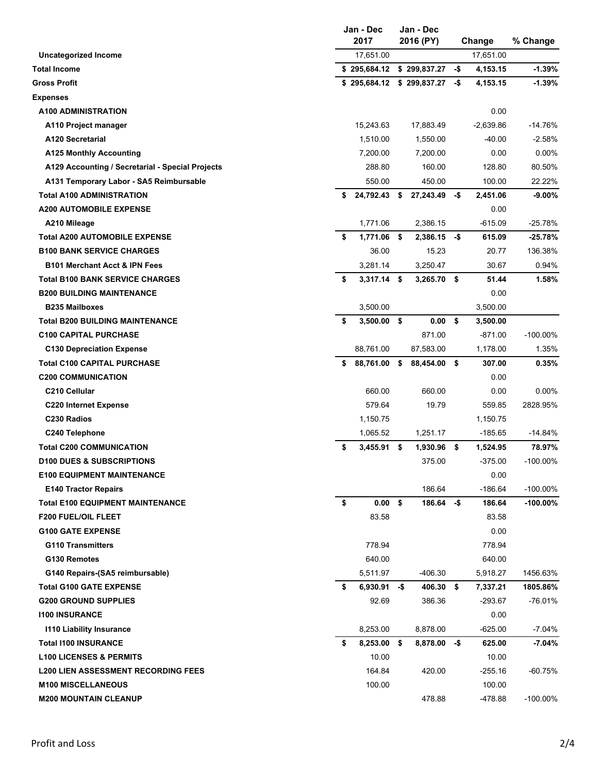|                                                  | Jan - Dec<br>2017    |      |                               |      | Change      | % Change    |  |
|--------------------------------------------------|----------------------|------|-------------------------------|------|-------------|-------------|--|
| Uncategorized Income                             | 17,651.00            |      |                               |      | 17,651.00   |             |  |
| <b>Total Income</b>                              | \$295,684.12         |      | \$299,837.27                  | -\$  | 4,153.15    | $-1.39%$    |  |
| <b>Gross Profit</b>                              |                      |      | $$295,684.12 \$299,837.27 \$$ |      | 4,153.15    | $-1.39%$    |  |
| <b>Expenses</b>                                  |                      |      |                               |      |             |             |  |
| <b>A100 ADMINISTRATION</b>                       |                      |      |                               |      | 0.00        |             |  |
| A110 Project manager                             | 15,243.63            |      | 17,883.49                     |      | $-2,639.86$ | $-14.76%$   |  |
| A120 Secretarial                                 | 1,510.00             |      | 1,550.00                      |      | $-40.00$    | $-2.58%$    |  |
| <b>A125 Monthly Accounting</b>                   | 7,200.00             |      | 7,200.00                      |      | 0.00        | $0.00\%$    |  |
| A129 Accounting / Secretarial - Special Projects | 288.80               |      | 160.00                        |      | 128.80      | 80.50%      |  |
| A131 Temporary Labor - SA5 Reimbursable          | 550.00               |      | 450.00                        |      | 100.00      | 22.22%      |  |
| <b>Total A100 ADMINISTRATION</b>                 | \$<br>24,792.43      | \$   | 27,243.49                     | -\$  | 2,451.06    | $-9.00%$    |  |
| <b>A200 AUTOMOBILE EXPENSE</b>                   |                      |      |                               |      | 0.00        |             |  |
| A210 Mileage                                     | 1,771.06             |      | 2,386.15                      |      | $-615.09$   | $-25.78%$   |  |
| <b>Total A200 AUTOMOBILE EXPENSE</b>             | \$<br>1,771.06       | \$   | 2,386.15                      | -\$  | 615.09      | $-25.78%$   |  |
| <b>B100 BANK SERVICE CHARGES</b>                 | 36.00                |      | 15.23                         |      | 20.77       | 136.38%     |  |
| <b>B101 Merchant Acct &amp; IPN Fees</b>         | 3,281.14             |      | 3,250.47                      |      | 30.67       | 0.94%       |  |
| <b>Total B100 BANK SERVICE CHARGES</b>           | \$<br>$3,317.14$ \$  |      | $3,265.70$ \$                 |      | 51.44       | 1.58%       |  |
| <b>B200 BUILDING MAINTENANCE</b>                 |                      |      |                               |      | 0.00        |             |  |
| <b>B235 Mailboxes</b>                            | 3,500.00             |      |                               |      | 3,500.00    |             |  |
| <b>Total B200 BUILDING MAINTENANCE</b>           | \$<br>$3,500.00$ \$  |      | 0.00                          | \$   | 3,500.00    |             |  |
| <b>C100 CAPITAL PURCHASE</b>                     |                      |      | 871.00                        |      | $-871.00$   | $-100.00\%$ |  |
| <b>C130 Depreciation Expense</b>                 | 88,761.00            |      | 87,583.00                     |      | 1,178.00    | 1.35%       |  |
| <b>Total C100 CAPITAL PURCHASE</b>               | \$<br>88,761.00      | \$   | 88,454.00 \$                  |      | 307.00      | 0.35%       |  |
| <b>C200 COMMUNICATION</b>                        |                      |      |                               |      | 0.00        |             |  |
| C210 Cellular                                    | 660.00               |      | 660.00                        |      | 0.00        | $0.00\%$    |  |
| <b>C220 Internet Expense</b>                     | 579.64               |      | 19.79                         |      | 559.85      | 2828.95%    |  |
| C230 Radios                                      | 1,150.75             |      |                               |      | 1,150.75    |             |  |
| C240 Telephone                                   | 1,065.52             |      | 1,251.17                      |      | $-185.65$   | -14.84%     |  |
| <b>Total C200 COMMUNICATION</b>                  | \$<br>3,455.91       | - \$ | 1,930.96                      | \$   | 1,524.95    | 78.97%      |  |
| <b>D100 DUES &amp; SUBSCRIPTIONS</b>             |                      |      | 375.00                        |      | $-375.00$   | $-100.00\%$ |  |
| <b>E100 EQUIPMENT MAINTENANCE</b>                |                      |      |                               |      | 0.00        |             |  |
| <b>E140 Tractor Repairs</b>                      |                      |      | 186.64                        |      | $-186.64$   | $-100.00\%$ |  |
| <b>Total E100 EQUIPMENT MAINTENANCE</b>          | \$<br>$0.00$ \$      |      | 186.64 -\$                    |      | 186.64      | $-100.00\%$ |  |
| <b>F200 FUEL/OIL FLEET</b>                       | 83.58                |      |                               |      | 83.58       |             |  |
| <b>G100 GATE EXPENSE</b>                         |                      |      |                               |      | 0.00        |             |  |
| <b>G110 Transmitters</b>                         | 778.94               |      |                               |      | 778.94      |             |  |
| G130 Remotes                                     | 640.00               |      |                               |      | 640.00      |             |  |
| G140 Repairs-(SA5 reimbursable)                  | 5,511.97             |      | -406.30                       |      | 5,918.27    | 1456.63%    |  |
| <b>Total G100 GATE EXPENSE</b>                   | \$<br>$6,930.91 - $$ |      | 406.30                        | - \$ | 7,337.21    | 1805.86%    |  |
| <b>G200 GROUND SUPPLIES</b>                      | 92.69                |      | 386.36                        |      | $-293.67$   | $-76.01%$   |  |
| <b>1100 INSURANCE</b>                            |                      |      |                               |      | 0.00        |             |  |
| <b>1110 Liability Insurance</b>                  | 8,253.00             |      | 8,878.00                      |      | $-625.00$   | $-7.04%$    |  |
| <b>Total I100 INSURANCE</b>                      | \$<br>8,253.00       | - \$ | $8,878.00 - $$                |      | 625.00      | $-7.04%$    |  |
| <b>L100 LICENSES &amp; PERMITS</b>               | 10.00                |      |                               |      | 10.00       |             |  |
| <b>L200 LIEN ASSESSMENT RECORDING FEES</b>       | 164.84               |      | 420.00                        |      | $-255.16$   | -60.75%     |  |
| <b>M100 MISCELLANEOUS</b>                        | 100.00               |      |                               |      | 100.00      |             |  |
| <b>M200 MOUNTAIN CLEANUP</b>                     |                      |      | 478.88                        |      | -478.88     | $-100.00\%$ |  |
|                                                  |                      |      |                               |      |             |             |  |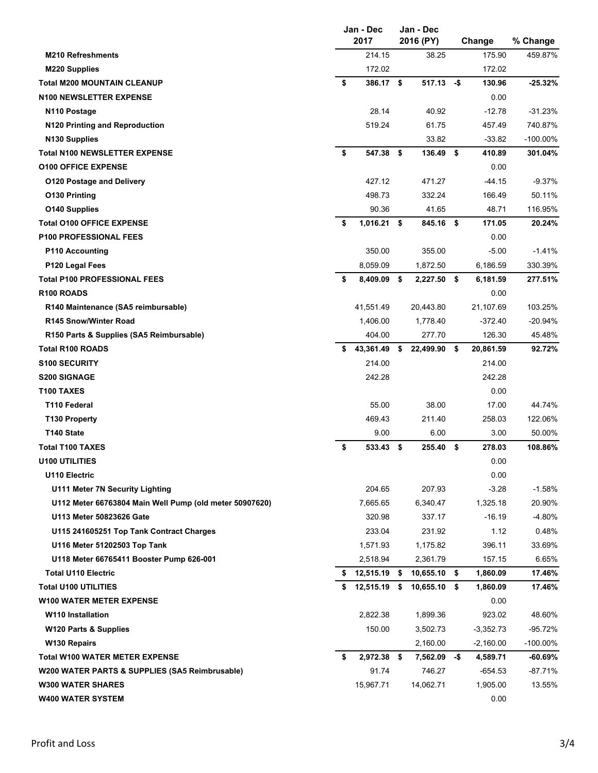| 214.15<br>38.25<br>175.90<br>459.87%<br><b>M210 Refreshments</b><br>172.02<br>172.02<br>M220 Supplies<br>\$<br><b>Total M200 MOUNTAIN CLEANUP</b><br>386.17 \$<br>$517.13 - $$<br>130.96<br>$-25.32%$<br><b>N100 NEWSLETTER EXPENSE</b><br>0.00<br>N110 Postage<br>28.14<br>40.92<br>$-12.78$<br>$-31.23%$<br>N120 Printing and Reproduction<br>519.24<br>61.75<br>740.87%<br>457.49<br>N <sub>130</sub> Supplies<br>33.82<br>$-33.82$<br>$-100.00\%$<br>\$<br>547.38 \$<br><b>Total N100 NEWSLETTER EXPENSE</b><br>136.49 \$<br>410.89<br>301.04%<br>0.00<br><b>O100 OFFICE EXPENSE</b><br>427.12<br>471.27<br>$-44.15$<br>$-9.37%$<br><b>O120 Postage and Delivery</b><br>498.73<br>332.24<br>166.49<br>50.11%<br>O130 Printing<br>90.36<br>41.65<br>48.71<br>116.95%<br>O140 Supplies<br>$1,016.21$ \$<br>845.16 \$<br>171.05<br><b>Total O100 OFFICE EXPENSE</b><br>\$<br>20.24%<br><b>P100 PROFESSIONAL FEES</b><br>0.00<br>350.00<br>355.00<br>$-5.00$<br>$-1.41%$<br><b>P110 Accounting</b><br>8,059.09<br>1,872.50<br>6,186.59<br>330.39%<br>P120 Legal Fees<br><b>Total P100 PROFESSIONAL FEES</b><br>6,181.59<br>277.51%<br>\$<br>8,409.09 \$<br>$2,227.50$ \$<br>R <sub>100</sub> ROADS<br>0.00<br>41,551.49<br>R140 Maintenance (SA5 reimbursable)<br>20,443.80<br>21,107.69<br>103.25%<br><b>R145 Snow/Winter Road</b><br>1,406.00<br>1,778.40<br>$-372.40$<br>$-20.94%$<br>126.30<br>404.00<br>277.70<br>45.48%<br>R150 Parts & Supplies (SA5 Reimbursable)<br><b>Total R100 ROADS</b><br>43,361.49<br>20,861.59<br>92.72%<br>\$<br>22,499.90 \$<br>S<br><b>S100 SECURITY</b><br>214.00<br>214.00<br>242.28<br>242.28<br><b>S200 SIGNAGE</b><br>T100 TAXES<br>0.00<br>T110 Federal<br>55.00<br>38.00<br>17.00<br>44.74%<br>T130 Property<br>469.43<br>211.40<br>258.03<br>122.06%<br>T140 State<br>6.00<br>3.00<br>50.00%<br>9.00<br>\$<br><b>Total T100 TAXES</b><br>533.43<br>255.40<br>278.03<br>108.86%<br>- \$<br>-\$<br>0.00<br><b>U100 UTILITIES</b><br>0.00<br>U110 Electric<br>U111 Meter 7N Security Lighting<br>204.65<br>207.93<br>$-3.28$<br>$-1.58%$<br>7,665.65<br>1,325.18<br>20.90%<br>U112 Meter 66763804 Main Well Pump (old meter 50907620)<br>6,340.47<br>U113 Meter 50823626 Gate<br>320.98<br>337.17<br>$-16.19$<br>$-4.80%$<br>233.04<br>231.92<br>1.12<br>0.48%<br>U115 241605251 Top Tank Contract Charges<br>U116 Meter 51202503 Top Tank<br>1,571.93<br>1,175.82<br>396.11<br>33.69%<br>U118 Meter 66765411 Booster Pump 626-001<br>2,518.94<br>2,361.79<br>157.15<br>6.65%<br>$$12,515.19$ \$<br><b>Total U110 Electric</b><br>$10,655.10$ \$<br>1,860.09<br>17.46%<br><b>Total U100 UTILITIES</b><br>12,515.19 \$<br>10,655.10 \$<br>1.860.09<br>17.46%<br>\$<br>0.00<br><b>W100 WATER METER EXPENSE</b><br>2,822.38<br>1,899.36<br>923.02<br>48.60%<br><b>W110 Installation</b><br>150.00<br>W120 Parts & Supplies<br>3,502.73<br>-3,352.73<br>$-95.72%$<br>2,160.00<br>$-100.00\%$<br>W <sub>130</sub> Repairs<br>$-2,160.00$<br><b>Total W100 WATER METER EXPENSE</b><br>$7,562.09 - $$<br>\$<br>2,972.38 \$<br>4,589.71<br>$-60.69\%$<br>91.74<br>746.27<br>$-654.53$<br>$-87.71%$<br>W200 WATER PARTS & SUPPLIES (SA5 Reimbrusable)<br>15,967.71<br>14,062.71<br>1,905.00<br>13.55%<br><b>W300 WATER SHARES</b><br><b>W400 WATER SYSTEM</b><br>0.00 | Jan - Dec<br>2017 |  |  | Jan - Dec<br>2016 (PY) | Change | % Change |
|------------------------------------------------------------------------------------------------------------------------------------------------------------------------------------------------------------------------------------------------------------------------------------------------------------------------------------------------------------------------------------------------------------------------------------------------------------------------------------------------------------------------------------------------------------------------------------------------------------------------------------------------------------------------------------------------------------------------------------------------------------------------------------------------------------------------------------------------------------------------------------------------------------------------------------------------------------------------------------------------------------------------------------------------------------------------------------------------------------------------------------------------------------------------------------------------------------------------------------------------------------------------------------------------------------------------------------------------------------------------------------------------------------------------------------------------------------------------------------------------------------------------------------------------------------------------------------------------------------------------------------------------------------------------------------------------------------------------------------------------------------------------------------------------------------------------------------------------------------------------------------------------------------------------------------------------------------------------------------------------------------------------------------------------------------------------------------------------------------------------------------------------------------------------------------------------------------------------------------------------------------------------------------------------------------------------------------------------------------------------------------------------------------------------------------------------------------------------------------------------------------------------------------------------------------------------------------------------------------------------------------------------------------------------------------------------------------------------------------------------------------------------------------------------------------------------------------------------------------------------------------------------------------------------------------------------------------------------------------------------------------------------------------------------------------------------------------------------------------------------------------------------------------------------------------------------------------------------------------------------------------------------------------------------------|-------------------|--|--|------------------------|--------|----------|
|                                                                                                                                                                                                                                                                                                                                                                                                                                                                                                                                                                                                                                                                                                                                                                                                                                                                                                                                                                                                                                                                                                                                                                                                                                                                                                                                                                                                                                                                                                                                                                                                                                                                                                                                                                                                                                                                                                                                                                                                                                                                                                                                                                                                                                                                                                                                                                                                                                                                                                                                                                                                                                                                                                                                                                                                                                                                                                                                                                                                                                                                                                                                                                                                                                                                                                      |                   |  |  |                        |        |          |
|                                                                                                                                                                                                                                                                                                                                                                                                                                                                                                                                                                                                                                                                                                                                                                                                                                                                                                                                                                                                                                                                                                                                                                                                                                                                                                                                                                                                                                                                                                                                                                                                                                                                                                                                                                                                                                                                                                                                                                                                                                                                                                                                                                                                                                                                                                                                                                                                                                                                                                                                                                                                                                                                                                                                                                                                                                                                                                                                                                                                                                                                                                                                                                                                                                                                                                      |                   |  |  |                        |        |          |
|                                                                                                                                                                                                                                                                                                                                                                                                                                                                                                                                                                                                                                                                                                                                                                                                                                                                                                                                                                                                                                                                                                                                                                                                                                                                                                                                                                                                                                                                                                                                                                                                                                                                                                                                                                                                                                                                                                                                                                                                                                                                                                                                                                                                                                                                                                                                                                                                                                                                                                                                                                                                                                                                                                                                                                                                                                                                                                                                                                                                                                                                                                                                                                                                                                                                                                      |                   |  |  |                        |        |          |
|                                                                                                                                                                                                                                                                                                                                                                                                                                                                                                                                                                                                                                                                                                                                                                                                                                                                                                                                                                                                                                                                                                                                                                                                                                                                                                                                                                                                                                                                                                                                                                                                                                                                                                                                                                                                                                                                                                                                                                                                                                                                                                                                                                                                                                                                                                                                                                                                                                                                                                                                                                                                                                                                                                                                                                                                                                                                                                                                                                                                                                                                                                                                                                                                                                                                                                      |                   |  |  |                        |        |          |
|                                                                                                                                                                                                                                                                                                                                                                                                                                                                                                                                                                                                                                                                                                                                                                                                                                                                                                                                                                                                                                                                                                                                                                                                                                                                                                                                                                                                                                                                                                                                                                                                                                                                                                                                                                                                                                                                                                                                                                                                                                                                                                                                                                                                                                                                                                                                                                                                                                                                                                                                                                                                                                                                                                                                                                                                                                                                                                                                                                                                                                                                                                                                                                                                                                                                                                      |                   |  |  |                        |        |          |
|                                                                                                                                                                                                                                                                                                                                                                                                                                                                                                                                                                                                                                                                                                                                                                                                                                                                                                                                                                                                                                                                                                                                                                                                                                                                                                                                                                                                                                                                                                                                                                                                                                                                                                                                                                                                                                                                                                                                                                                                                                                                                                                                                                                                                                                                                                                                                                                                                                                                                                                                                                                                                                                                                                                                                                                                                                                                                                                                                                                                                                                                                                                                                                                                                                                                                                      |                   |  |  |                        |        |          |
|                                                                                                                                                                                                                                                                                                                                                                                                                                                                                                                                                                                                                                                                                                                                                                                                                                                                                                                                                                                                                                                                                                                                                                                                                                                                                                                                                                                                                                                                                                                                                                                                                                                                                                                                                                                                                                                                                                                                                                                                                                                                                                                                                                                                                                                                                                                                                                                                                                                                                                                                                                                                                                                                                                                                                                                                                                                                                                                                                                                                                                                                                                                                                                                                                                                                                                      |                   |  |  |                        |        |          |
|                                                                                                                                                                                                                                                                                                                                                                                                                                                                                                                                                                                                                                                                                                                                                                                                                                                                                                                                                                                                                                                                                                                                                                                                                                                                                                                                                                                                                                                                                                                                                                                                                                                                                                                                                                                                                                                                                                                                                                                                                                                                                                                                                                                                                                                                                                                                                                                                                                                                                                                                                                                                                                                                                                                                                                                                                                                                                                                                                                                                                                                                                                                                                                                                                                                                                                      |                   |  |  |                        |        |          |
|                                                                                                                                                                                                                                                                                                                                                                                                                                                                                                                                                                                                                                                                                                                                                                                                                                                                                                                                                                                                                                                                                                                                                                                                                                                                                                                                                                                                                                                                                                                                                                                                                                                                                                                                                                                                                                                                                                                                                                                                                                                                                                                                                                                                                                                                                                                                                                                                                                                                                                                                                                                                                                                                                                                                                                                                                                                                                                                                                                                                                                                                                                                                                                                                                                                                                                      |                   |  |  |                        |        |          |
|                                                                                                                                                                                                                                                                                                                                                                                                                                                                                                                                                                                                                                                                                                                                                                                                                                                                                                                                                                                                                                                                                                                                                                                                                                                                                                                                                                                                                                                                                                                                                                                                                                                                                                                                                                                                                                                                                                                                                                                                                                                                                                                                                                                                                                                                                                                                                                                                                                                                                                                                                                                                                                                                                                                                                                                                                                                                                                                                                                                                                                                                                                                                                                                                                                                                                                      |                   |  |  |                        |        |          |
|                                                                                                                                                                                                                                                                                                                                                                                                                                                                                                                                                                                                                                                                                                                                                                                                                                                                                                                                                                                                                                                                                                                                                                                                                                                                                                                                                                                                                                                                                                                                                                                                                                                                                                                                                                                                                                                                                                                                                                                                                                                                                                                                                                                                                                                                                                                                                                                                                                                                                                                                                                                                                                                                                                                                                                                                                                                                                                                                                                                                                                                                                                                                                                                                                                                                                                      |                   |  |  |                        |        |          |
|                                                                                                                                                                                                                                                                                                                                                                                                                                                                                                                                                                                                                                                                                                                                                                                                                                                                                                                                                                                                                                                                                                                                                                                                                                                                                                                                                                                                                                                                                                                                                                                                                                                                                                                                                                                                                                                                                                                                                                                                                                                                                                                                                                                                                                                                                                                                                                                                                                                                                                                                                                                                                                                                                                                                                                                                                                                                                                                                                                                                                                                                                                                                                                                                                                                                                                      |                   |  |  |                        |        |          |
|                                                                                                                                                                                                                                                                                                                                                                                                                                                                                                                                                                                                                                                                                                                                                                                                                                                                                                                                                                                                                                                                                                                                                                                                                                                                                                                                                                                                                                                                                                                                                                                                                                                                                                                                                                                                                                                                                                                                                                                                                                                                                                                                                                                                                                                                                                                                                                                                                                                                                                                                                                                                                                                                                                                                                                                                                                                                                                                                                                                                                                                                                                                                                                                                                                                                                                      |                   |  |  |                        |        |          |
|                                                                                                                                                                                                                                                                                                                                                                                                                                                                                                                                                                                                                                                                                                                                                                                                                                                                                                                                                                                                                                                                                                                                                                                                                                                                                                                                                                                                                                                                                                                                                                                                                                                                                                                                                                                                                                                                                                                                                                                                                                                                                                                                                                                                                                                                                                                                                                                                                                                                                                                                                                                                                                                                                                                                                                                                                                                                                                                                                                                                                                                                                                                                                                                                                                                                                                      |                   |  |  |                        |        |          |
|                                                                                                                                                                                                                                                                                                                                                                                                                                                                                                                                                                                                                                                                                                                                                                                                                                                                                                                                                                                                                                                                                                                                                                                                                                                                                                                                                                                                                                                                                                                                                                                                                                                                                                                                                                                                                                                                                                                                                                                                                                                                                                                                                                                                                                                                                                                                                                                                                                                                                                                                                                                                                                                                                                                                                                                                                                                                                                                                                                                                                                                                                                                                                                                                                                                                                                      |                   |  |  |                        |        |          |
|                                                                                                                                                                                                                                                                                                                                                                                                                                                                                                                                                                                                                                                                                                                                                                                                                                                                                                                                                                                                                                                                                                                                                                                                                                                                                                                                                                                                                                                                                                                                                                                                                                                                                                                                                                                                                                                                                                                                                                                                                                                                                                                                                                                                                                                                                                                                                                                                                                                                                                                                                                                                                                                                                                                                                                                                                                                                                                                                                                                                                                                                                                                                                                                                                                                                                                      |                   |  |  |                        |        |          |
|                                                                                                                                                                                                                                                                                                                                                                                                                                                                                                                                                                                                                                                                                                                                                                                                                                                                                                                                                                                                                                                                                                                                                                                                                                                                                                                                                                                                                                                                                                                                                                                                                                                                                                                                                                                                                                                                                                                                                                                                                                                                                                                                                                                                                                                                                                                                                                                                                                                                                                                                                                                                                                                                                                                                                                                                                                                                                                                                                                                                                                                                                                                                                                                                                                                                                                      |                   |  |  |                        |        |          |
|                                                                                                                                                                                                                                                                                                                                                                                                                                                                                                                                                                                                                                                                                                                                                                                                                                                                                                                                                                                                                                                                                                                                                                                                                                                                                                                                                                                                                                                                                                                                                                                                                                                                                                                                                                                                                                                                                                                                                                                                                                                                                                                                                                                                                                                                                                                                                                                                                                                                                                                                                                                                                                                                                                                                                                                                                                                                                                                                                                                                                                                                                                                                                                                                                                                                                                      |                   |  |  |                        |        |          |
|                                                                                                                                                                                                                                                                                                                                                                                                                                                                                                                                                                                                                                                                                                                                                                                                                                                                                                                                                                                                                                                                                                                                                                                                                                                                                                                                                                                                                                                                                                                                                                                                                                                                                                                                                                                                                                                                                                                                                                                                                                                                                                                                                                                                                                                                                                                                                                                                                                                                                                                                                                                                                                                                                                                                                                                                                                                                                                                                                                                                                                                                                                                                                                                                                                                                                                      |                   |  |  |                        |        |          |
|                                                                                                                                                                                                                                                                                                                                                                                                                                                                                                                                                                                                                                                                                                                                                                                                                                                                                                                                                                                                                                                                                                                                                                                                                                                                                                                                                                                                                                                                                                                                                                                                                                                                                                                                                                                                                                                                                                                                                                                                                                                                                                                                                                                                                                                                                                                                                                                                                                                                                                                                                                                                                                                                                                                                                                                                                                                                                                                                                                                                                                                                                                                                                                                                                                                                                                      |                   |  |  |                        |        |          |
|                                                                                                                                                                                                                                                                                                                                                                                                                                                                                                                                                                                                                                                                                                                                                                                                                                                                                                                                                                                                                                                                                                                                                                                                                                                                                                                                                                                                                                                                                                                                                                                                                                                                                                                                                                                                                                                                                                                                                                                                                                                                                                                                                                                                                                                                                                                                                                                                                                                                                                                                                                                                                                                                                                                                                                                                                                                                                                                                                                                                                                                                                                                                                                                                                                                                                                      |                   |  |  |                        |        |          |
|                                                                                                                                                                                                                                                                                                                                                                                                                                                                                                                                                                                                                                                                                                                                                                                                                                                                                                                                                                                                                                                                                                                                                                                                                                                                                                                                                                                                                                                                                                                                                                                                                                                                                                                                                                                                                                                                                                                                                                                                                                                                                                                                                                                                                                                                                                                                                                                                                                                                                                                                                                                                                                                                                                                                                                                                                                                                                                                                                                                                                                                                                                                                                                                                                                                                                                      |                   |  |  |                        |        |          |
|                                                                                                                                                                                                                                                                                                                                                                                                                                                                                                                                                                                                                                                                                                                                                                                                                                                                                                                                                                                                                                                                                                                                                                                                                                                                                                                                                                                                                                                                                                                                                                                                                                                                                                                                                                                                                                                                                                                                                                                                                                                                                                                                                                                                                                                                                                                                                                                                                                                                                                                                                                                                                                                                                                                                                                                                                                                                                                                                                                                                                                                                                                                                                                                                                                                                                                      |                   |  |  |                        |        |          |
|                                                                                                                                                                                                                                                                                                                                                                                                                                                                                                                                                                                                                                                                                                                                                                                                                                                                                                                                                                                                                                                                                                                                                                                                                                                                                                                                                                                                                                                                                                                                                                                                                                                                                                                                                                                                                                                                                                                                                                                                                                                                                                                                                                                                                                                                                                                                                                                                                                                                                                                                                                                                                                                                                                                                                                                                                                                                                                                                                                                                                                                                                                                                                                                                                                                                                                      |                   |  |  |                        |        |          |
|                                                                                                                                                                                                                                                                                                                                                                                                                                                                                                                                                                                                                                                                                                                                                                                                                                                                                                                                                                                                                                                                                                                                                                                                                                                                                                                                                                                                                                                                                                                                                                                                                                                                                                                                                                                                                                                                                                                                                                                                                                                                                                                                                                                                                                                                                                                                                                                                                                                                                                                                                                                                                                                                                                                                                                                                                                                                                                                                                                                                                                                                                                                                                                                                                                                                                                      |                   |  |  |                        |        |          |
|                                                                                                                                                                                                                                                                                                                                                                                                                                                                                                                                                                                                                                                                                                                                                                                                                                                                                                                                                                                                                                                                                                                                                                                                                                                                                                                                                                                                                                                                                                                                                                                                                                                                                                                                                                                                                                                                                                                                                                                                                                                                                                                                                                                                                                                                                                                                                                                                                                                                                                                                                                                                                                                                                                                                                                                                                                                                                                                                                                                                                                                                                                                                                                                                                                                                                                      |                   |  |  |                        |        |          |
|                                                                                                                                                                                                                                                                                                                                                                                                                                                                                                                                                                                                                                                                                                                                                                                                                                                                                                                                                                                                                                                                                                                                                                                                                                                                                                                                                                                                                                                                                                                                                                                                                                                                                                                                                                                                                                                                                                                                                                                                                                                                                                                                                                                                                                                                                                                                                                                                                                                                                                                                                                                                                                                                                                                                                                                                                                                                                                                                                                                                                                                                                                                                                                                                                                                                                                      |                   |  |  |                        |        |          |
|                                                                                                                                                                                                                                                                                                                                                                                                                                                                                                                                                                                                                                                                                                                                                                                                                                                                                                                                                                                                                                                                                                                                                                                                                                                                                                                                                                                                                                                                                                                                                                                                                                                                                                                                                                                                                                                                                                                                                                                                                                                                                                                                                                                                                                                                                                                                                                                                                                                                                                                                                                                                                                                                                                                                                                                                                                                                                                                                                                                                                                                                                                                                                                                                                                                                                                      |                   |  |  |                        |        |          |
|                                                                                                                                                                                                                                                                                                                                                                                                                                                                                                                                                                                                                                                                                                                                                                                                                                                                                                                                                                                                                                                                                                                                                                                                                                                                                                                                                                                                                                                                                                                                                                                                                                                                                                                                                                                                                                                                                                                                                                                                                                                                                                                                                                                                                                                                                                                                                                                                                                                                                                                                                                                                                                                                                                                                                                                                                                                                                                                                                                                                                                                                                                                                                                                                                                                                                                      |                   |  |  |                        |        |          |
|                                                                                                                                                                                                                                                                                                                                                                                                                                                                                                                                                                                                                                                                                                                                                                                                                                                                                                                                                                                                                                                                                                                                                                                                                                                                                                                                                                                                                                                                                                                                                                                                                                                                                                                                                                                                                                                                                                                                                                                                                                                                                                                                                                                                                                                                                                                                                                                                                                                                                                                                                                                                                                                                                                                                                                                                                                                                                                                                                                                                                                                                                                                                                                                                                                                                                                      |                   |  |  |                        |        |          |
|                                                                                                                                                                                                                                                                                                                                                                                                                                                                                                                                                                                                                                                                                                                                                                                                                                                                                                                                                                                                                                                                                                                                                                                                                                                                                                                                                                                                                                                                                                                                                                                                                                                                                                                                                                                                                                                                                                                                                                                                                                                                                                                                                                                                                                                                                                                                                                                                                                                                                                                                                                                                                                                                                                                                                                                                                                                                                                                                                                                                                                                                                                                                                                                                                                                                                                      |                   |  |  |                        |        |          |
|                                                                                                                                                                                                                                                                                                                                                                                                                                                                                                                                                                                                                                                                                                                                                                                                                                                                                                                                                                                                                                                                                                                                                                                                                                                                                                                                                                                                                                                                                                                                                                                                                                                                                                                                                                                                                                                                                                                                                                                                                                                                                                                                                                                                                                                                                                                                                                                                                                                                                                                                                                                                                                                                                                                                                                                                                                                                                                                                                                                                                                                                                                                                                                                                                                                                                                      |                   |  |  |                        |        |          |
|                                                                                                                                                                                                                                                                                                                                                                                                                                                                                                                                                                                                                                                                                                                                                                                                                                                                                                                                                                                                                                                                                                                                                                                                                                                                                                                                                                                                                                                                                                                                                                                                                                                                                                                                                                                                                                                                                                                                                                                                                                                                                                                                                                                                                                                                                                                                                                                                                                                                                                                                                                                                                                                                                                                                                                                                                                                                                                                                                                                                                                                                                                                                                                                                                                                                                                      |                   |  |  |                        |        |          |
|                                                                                                                                                                                                                                                                                                                                                                                                                                                                                                                                                                                                                                                                                                                                                                                                                                                                                                                                                                                                                                                                                                                                                                                                                                                                                                                                                                                                                                                                                                                                                                                                                                                                                                                                                                                                                                                                                                                                                                                                                                                                                                                                                                                                                                                                                                                                                                                                                                                                                                                                                                                                                                                                                                                                                                                                                                                                                                                                                                                                                                                                                                                                                                                                                                                                                                      |                   |  |  |                        |        |          |
|                                                                                                                                                                                                                                                                                                                                                                                                                                                                                                                                                                                                                                                                                                                                                                                                                                                                                                                                                                                                                                                                                                                                                                                                                                                                                                                                                                                                                                                                                                                                                                                                                                                                                                                                                                                                                                                                                                                                                                                                                                                                                                                                                                                                                                                                                                                                                                                                                                                                                                                                                                                                                                                                                                                                                                                                                                                                                                                                                                                                                                                                                                                                                                                                                                                                                                      |                   |  |  |                        |        |          |
|                                                                                                                                                                                                                                                                                                                                                                                                                                                                                                                                                                                                                                                                                                                                                                                                                                                                                                                                                                                                                                                                                                                                                                                                                                                                                                                                                                                                                                                                                                                                                                                                                                                                                                                                                                                                                                                                                                                                                                                                                                                                                                                                                                                                                                                                                                                                                                                                                                                                                                                                                                                                                                                                                                                                                                                                                                                                                                                                                                                                                                                                                                                                                                                                                                                                                                      |                   |  |  |                        |        |          |
|                                                                                                                                                                                                                                                                                                                                                                                                                                                                                                                                                                                                                                                                                                                                                                                                                                                                                                                                                                                                                                                                                                                                                                                                                                                                                                                                                                                                                                                                                                                                                                                                                                                                                                                                                                                                                                                                                                                                                                                                                                                                                                                                                                                                                                                                                                                                                                                                                                                                                                                                                                                                                                                                                                                                                                                                                                                                                                                                                                                                                                                                                                                                                                                                                                                                                                      |                   |  |  |                        |        |          |
|                                                                                                                                                                                                                                                                                                                                                                                                                                                                                                                                                                                                                                                                                                                                                                                                                                                                                                                                                                                                                                                                                                                                                                                                                                                                                                                                                                                                                                                                                                                                                                                                                                                                                                                                                                                                                                                                                                                                                                                                                                                                                                                                                                                                                                                                                                                                                                                                                                                                                                                                                                                                                                                                                                                                                                                                                                                                                                                                                                                                                                                                                                                                                                                                                                                                                                      |                   |  |  |                        |        |          |
|                                                                                                                                                                                                                                                                                                                                                                                                                                                                                                                                                                                                                                                                                                                                                                                                                                                                                                                                                                                                                                                                                                                                                                                                                                                                                                                                                                                                                                                                                                                                                                                                                                                                                                                                                                                                                                                                                                                                                                                                                                                                                                                                                                                                                                                                                                                                                                                                                                                                                                                                                                                                                                                                                                                                                                                                                                                                                                                                                                                                                                                                                                                                                                                                                                                                                                      |                   |  |  |                        |        |          |
|                                                                                                                                                                                                                                                                                                                                                                                                                                                                                                                                                                                                                                                                                                                                                                                                                                                                                                                                                                                                                                                                                                                                                                                                                                                                                                                                                                                                                                                                                                                                                                                                                                                                                                                                                                                                                                                                                                                                                                                                                                                                                                                                                                                                                                                                                                                                                                                                                                                                                                                                                                                                                                                                                                                                                                                                                                                                                                                                                                                                                                                                                                                                                                                                                                                                                                      |                   |  |  |                        |        |          |
|                                                                                                                                                                                                                                                                                                                                                                                                                                                                                                                                                                                                                                                                                                                                                                                                                                                                                                                                                                                                                                                                                                                                                                                                                                                                                                                                                                                                                                                                                                                                                                                                                                                                                                                                                                                                                                                                                                                                                                                                                                                                                                                                                                                                                                                                                                                                                                                                                                                                                                                                                                                                                                                                                                                                                                                                                                                                                                                                                                                                                                                                                                                                                                                                                                                                                                      |                   |  |  |                        |        |          |
|                                                                                                                                                                                                                                                                                                                                                                                                                                                                                                                                                                                                                                                                                                                                                                                                                                                                                                                                                                                                                                                                                                                                                                                                                                                                                                                                                                                                                                                                                                                                                                                                                                                                                                                                                                                                                                                                                                                                                                                                                                                                                                                                                                                                                                                                                                                                                                                                                                                                                                                                                                                                                                                                                                                                                                                                                                                                                                                                                                                                                                                                                                                                                                                                                                                                                                      |                   |  |  |                        |        |          |
|                                                                                                                                                                                                                                                                                                                                                                                                                                                                                                                                                                                                                                                                                                                                                                                                                                                                                                                                                                                                                                                                                                                                                                                                                                                                                                                                                                                                                                                                                                                                                                                                                                                                                                                                                                                                                                                                                                                                                                                                                                                                                                                                                                                                                                                                                                                                                                                                                                                                                                                                                                                                                                                                                                                                                                                                                                                                                                                                                                                                                                                                                                                                                                                                                                                                                                      |                   |  |  |                        |        |          |
|                                                                                                                                                                                                                                                                                                                                                                                                                                                                                                                                                                                                                                                                                                                                                                                                                                                                                                                                                                                                                                                                                                                                                                                                                                                                                                                                                                                                                                                                                                                                                                                                                                                                                                                                                                                                                                                                                                                                                                                                                                                                                                                                                                                                                                                                                                                                                                                                                                                                                                                                                                                                                                                                                                                                                                                                                                                                                                                                                                                                                                                                                                                                                                                                                                                                                                      |                   |  |  |                        |        |          |
|                                                                                                                                                                                                                                                                                                                                                                                                                                                                                                                                                                                                                                                                                                                                                                                                                                                                                                                                                                                                                                                                                                                                                                                                                                                                                                                                                                                                                                                                                                                                                                                                                                                                                                                                                                                                                                                                                                                                                                                                                                                                                                                                                                                                                                                                                                                                                                                                                                                                                                                                                                                                                                                                                                                                                                                                                                                                                                                                                                                                                                                                                                                                                                                                                                                                                                      |                   |  |  |                        |        |          |
|                                                                                                                                                                                                                                                                                                                                                                                                                                                                                                                                                                                                                                                                                                                                                                                                                                                                                                                                                                                                                                                                                                                                                                                                                                                                                                                                                                                                                                                                                                                                                                                                                                                                                                                                                                                                                                                                                                                                                                                                                                                                                                                                                                                                                                                                                                                                                                                                                                                                                                                                                                                                                                                                                                                                                                                                                                                                                                                                                                                                                                                                                                                                                                                                                                                                                                      |                   |  |  |                        |        |          |
|                                                                                                                                                                                                                                                                                                                                                                                                                                                                                                                                                                                                                                                                                                                                                                                                                                                                                                                                                                                                                                                                                                                                                                                                                                                                                                                                                                                                                                                                                                                                                                                                                                                                                                                                                                                                                                                                                                                                                                                                                                                                                                                                                                                                                                                                                                                                                                                                                                                                                                                                                                                                                                                                                                                                                                                                                                                                                                                                                                                                                                                                                                                                                                                                                                                                                                      |                   |  |  |                        |        |          |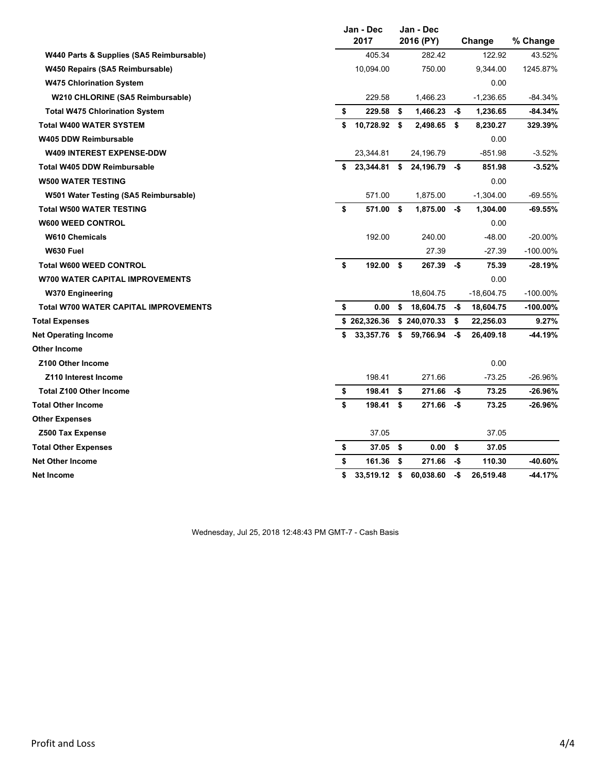|                                              | Jan - Dec<br>2017  |     | Jan - Dec<br>2016 (PY) | Change |              | % Change    |
|----------------------------------------------|--------------------|-----|------------------------|--------|--------------|-------------|
| W440 Parts & Supplies (SA5 Reimbursable)     | 405.34             |     | 282.42                 |        | 122.92       | 43.52%      |
| W450 Repairs (SA5 Reimbursable)              | 10,094.00          |     | 750.00                 |        | 9,344.00     | 1245.87%    |
| <b>W475 Chlorination System</b>              |                    |     |                        |        | 0.00         |             |
| W210 CHLORINE (SA5 Reimbursable)             | 229.58             |     | 1,466.23               |        | $-1,236.65$  | $-84.34%$   |
| <b>Total W475 Chlorination System</b>        | \$<br>229.58       | -\$ | 1,466.23               | -\$    | 1,236.65     | $-84.34%$   |
| <b>Total W400 WATER SYSTEM</b>               | \$<br>10,728.92 \$ |     | 2,498.65               | \$     | 8,230.27     | 329.39%     |
| <b>W405 DDW Reimbursable</b>                 |                    |     |                        |        | 0.00         |             |
| <b>W409 INTEREST EXPENSE-DDW</b>             | 23,344.81          |     | 24,196.79              |        | $-851.98$    | $-3.52%$    |
| <b>Total W405 DDW Reimbursable</b>           | \$23,344.81        | \$  | 24,196.79              | -\$    | 851.98       | $-3.52%$    |
| <b>W500 WATER TESTING</b>                    |                    |     |                        |        | 0.00         |             |
| W501 Water Testing (SA5 Reimbursable)        | 571.00             |     | 1,875.00               |        | $-1,304.00$  | $-69.55%$   |
| <b>Total W500 WATER TESTING</b>              | \$<br>571.00       | -\$ | 1,875.00               | -\$    | 1,304.00     | -69.55%     |
| <b>W600 WEED CONTROL</b>                     |                    |     |                        |        | 0.00         |             |
| <b>W610 Chemicals</b>                        | 192.00             |     | 240.00                 |        | $-48.00$     | $-20.00%$   |
| W630 Fuel                                    |                    |     | 27.39                  |        | $-27.39$     | $-100.00\%$ |
| <b>Total W600 WEED CONTROL</b>               | \$<br>192.00       | \$  | 267.39                 | -\$    | 75.39        | -28.19%     |
| <b>W700 WATER CAPITAL IMPROVEMENTS</b>       |                    |     |                        |        | 0.00         |             |
| <b>W370 Engineering</b>                      |                    |     | 18,604.75              |        | $-18,604.75$ | -100.00%    |
| <b>Total W700 WATER CAPITAL IMPROVEMENTS</b> | \$<br>0.00         | \$  | 18,604.75              | -\$    | 18,604.75    | $-100.00\%$ |
| <b>Total Expenses</b>                        | \$262,326.36       |     | \$240,070.33           | \$     | 22,256.03    | 9.27%       |
| <b>Net Operating Income</b>                  | \$<br>33,357.76    | \$  | 59,766.94              | -\$    | 26,409.18    | -44.19%     |
| <b>Other Income</b>                          |                    |     |                        |        |              |             |
| <b>Z100 Other Income</b>                     |                    |     |                        |        | 0.00         |             |
| Z110 Interest Income                         | 198.41             |     | 271.66                 |        | $-73.25$     | $-26.96%$   |
| <b>Total Z100 Other Income</b>               | \$<br>198.41       | \$  | 271.66                 | -\$    | 73.25        | $-26.96\%$  |
| <b>Total Other Income</b>                    | \$<br>198.41       | \$  | 271.66                 | -\$    | 73.25        | -26.96%     |
| <b>Other Expenses</b>                        |                    |     |                        |        |              |             |
| Z500 Tax Expense                             | 37.05              |     |                        |        | 37.05        |             |
| <b>Total Other Expenses</b>                  | \$<br>$37.05$ \$   |     | 0.00                   | \$     | 37.05        |             |
| <b>Net Other Income</b>                      | \$<br>161.36       | \$  | 271.66                 | -\$    | 110.30       | -40.60%     |
| <b>Net Income</b>                            | \$<br>33,519.12    | \$  | 60,038.60              | -\$    | 26,519.48    | -44.17%     |

Wednesday, Jul 25, 2018 12:48:43 PM GMT-7 - Cash Basis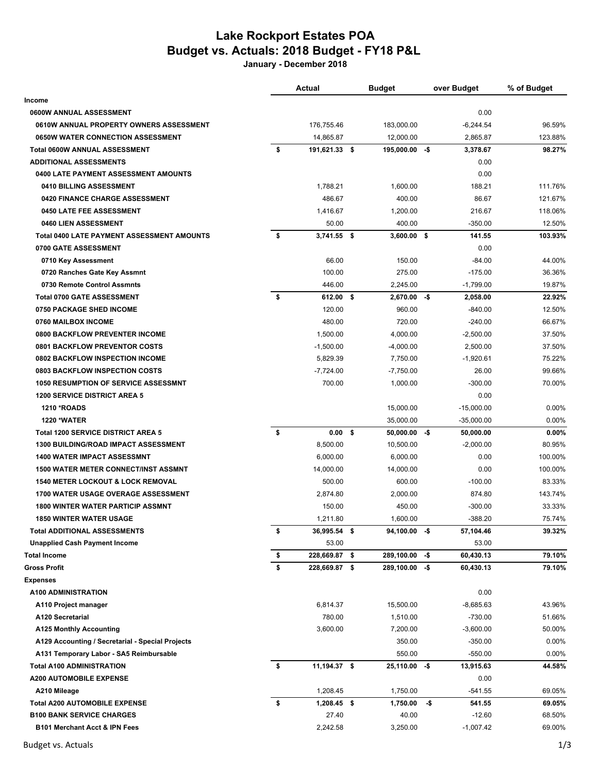## **Lake Rockport Estates POA Budget vs. Actuals: 2018 Budget - FY18 P&L**

**January - December 2018**

|                                                   | <b>Actual</b>           | <b>Budget</b>   |     | over Budget  | % of Budget |
|---------------------------------------------------|-------------------------|-----------------|-----|--------------|-------------|
| Income                                            |                         |                 |     |              |             |
| 0600W ANNUAL ASSESSMENT                           |                         |                 |     | 0.00         |             |
| 0610W ANNUAL PROPERTY OWNERS ASSESSMENT           | 176,755.46              | 183,000.00      |     | $-6,244.54$  | 96.59%      |
| <b>0650W WATER CONNECTION ASSESSMENT</b>          | 14,865.87               | 12,000.00       |     | 2,865.87     | 123.88%     |
| Total 0600W ANNUAL ASSESSMENT                     | \$<br>191,621.33 \$     | 195,000.00 -\$  |     | 3,378.67     | 98.27%      |
| <b>ADDITIONAL ASSESSMENTS</b>                     |                         |                 |     | 0.00         |             |
| 0400 LATE PAYMENT ASSESSMENT AMOUNTS              |                         |                 |     | 0.00         |             |
| 0410 BILLING ASSESSMENT                           | 1,788.21                | 1,600.00        |     | 188.21       | 111.76%     |
| 0420 FINANCE CHARGE ASSESSMENT                    | 486.67                  | 400.00          |     | 86.67        | 121.67%     |
| 0450 LATE FEE ASSESSMENT                          | 1,416.67                | 1,200.00        |     | 216.67       | 118.06%     |
| 0460 LIEN ASSESSMENT                              | 50.00                   | 400.00          |     | $-350.00$    | 12.50%      |
| <b>Total 0400 LATE PAYMENT ASSESSMENT AMOUNTS</b> | \$<br>$3,741.55$ \$     | $3,600.00$ \$   |     | 141.55       | 103.93%     |
| 0700 GATE ASSESSMENT                              |                         |                 |     | 0.00         |             |
| 0710 Key Assessment                               | 66.00                   | 150.00          |     | $-84.00$     | 44.00%      |
| 0720 Ranches Gate Key Assmnt                      | 100.00                  | 275.00          |     | $-175.00$    | 36.36%      |
| 0730 Remote Control Assmnts                       | 446.00                  | 2,245.00        |     | $-1,799.00$  | 19.87%      |
| <b>Total 0700 GATE ASSESSMENT</b>                 | \$<br>612.00 \$         | $2,670.00 - $$  |     | 2,058.00     | 22.92%      |
| <b>0750 PACKAGE SHED INCOME</b>                   | 120.00                  | 960.00          |     | $-840.00$    | 12.50%      |
| 0760 MAILBOX INCOME                               | 480.00                  | 720.00          |     | $-240.00$    | 66.67%      |
| 0800 BACKFLOW PREVENTER INCOME                    | 1,500.00                | 4,000.00        |     | $-2,500.00$  | 37.50%      |
| <b>0801 BACKFLOW PREVENTOR COSTS</b>              | $-1,500.00$             | $-4,000.00$     |     | 2,500.00     | 37.50%      |
| 0802 BACKFLOW INSPECTION INCOME                   | 5,829.39                | 7,750.00        |     | $-1,920.61$  | 75.22%      |
| 0803 BACKFLOW INSPECTION COSTS                    | $-7,724.00$             | $-7,750.00$     |     | 26.00        | 99.66%      |
| <b>1050 RESUMPTION OF SERVICE ASSESSMNT</b>       | 700.00                  | 1,000.00        |     | $-300.00$    | 70.00%      |
| <b>1200 SERVICE DISTRICT AREA 5</b>               |                         |                 |     | 0.00         |             |
| <b>1210 *ROADS</b>                                |                         | 15,000.00       |     | $-15,000.00$ | $0.00\%$    |
| <b>1220 *WATER</b>                                |                         | 35,000.00       |     | $-35,000.00$ | 0.00%       |
| Total 1200 SERVICE DISTRICT AREA 5                | \$<br>0.00 <sup>5</sup> | $50,000.00 - $$ |     | 50,000.00    | 0.00%       |
| <b>1300 BUILDING/ROAD IMPACT ASSESSMENT</b>       | 8,500.00                | 10,500.00       |     | $-2,000.00$  | 80.95%      |
| <b>1400 WATER IMPACT ASSESSMNT</b>                | 6,000.00                | 6,000.00        |     | 0.00         | 100.00%     |
| <b>1500 WATER METER CONNECT/INST ASSMNT</b>       | 14,000.00               | 14,000.00       |     | 0.00         | 100.00%     |
| <b>1540 METER LOCKOUT &amp; LOCK REMOVAL</b>      | 500.00                  | 600.00          |     | $-100.00$    | 83.33%      |
| <b>1700 WATER USAGE OVERAGE ASSESSMENT</b>        | 2,874.80                | 2,000.00        |     | 874.80       | 143.74%     |
| <b>1800 WINTER WATER PARTICIP ASSMNT</b>          | 150.00                  | 450.00          |     | $-300.00$    | 33.33%      |
| <b>1850 WINTER WATER USAGE</b>                    | 1,211.80                | 1,600.00        |     | $-388.20$    | 75.74%      |
| <b>Total ADDITIONAL ASSESSMENTS</b>               | \$<br>36,995.54 \$      | $94,100.00 - $$ |     | 57,104.46    | 39.32%      |
| <b>Unapplied Cash Payment Income</b>              | 53.00                   |                 |     | 53.00        |             |
| <b>Total Income</b>                               | \$<br>228,669.87 \$     | 289,100.00      | -\$ | 60,430.13    | 79.10%      |
| <b>Gross Profit</b>                               | \$<br>228,669.87 \$     | 289,100.00 -\$  |     | 60,430.13    | 79.10%      |
| <b>Expenses</b>                                   |                         |                 |     |              |             |
| A100 ADMINISTRATION                               |                         |                 |     | 0.00         |             |
| A110 Project manager                              | 6,814.37                | 15,500.00       |     | $-8,685.63$  | 43.96%      |
| A120 Secretarial                                  | 780.00                  | 1,510.00        |     | $-730.00$    | 51.66%      |
| <b>A125 Monthly Accounting</b>                    | 3,600.00                | 7,200.00        |     | $-3,600.00$  | 50.00%      |
| A129 Accounting / Secretarial - Special Projects  |                         | 350.00          |     | $-350.00$    | 0.00%       |
| A131 Temporary Labor - SA5 Reimbursable           |                         | 550.00          |     | $-550.00$    | 0.00%       |
| <b>Total A100 ADMINISTRATION</b>                  | \$<br>11,194.37 \$      | $25,110.00 - $$ |     | 13,915.63    | 44.58%      |
| <b>A200 AUTOMOBILE EXPENSE</b>                    |                         |                 |     | 0.00         |             |
| A210 Mileage                                      | 1,208.45                | 1,750.00        |     | $-541.55$    | 69.05%      |
| <b>Total A200 AUTOMOBILE EXPENSE</b>              | \$<br>1,208.45 \$       | 1,750.00        | -\$ | 541.55       | 69.05%      |
| <b>B100 BANK SERVICE CHARGES</b>                  | 27.40                   | 40.00           |     | $-12.60$     | 68.50%      |
| B101 Merchant Acct & IPN Fees                     | 2,242.58                | 3,250.00        |     | $-1,007.42$  | 69.00%      |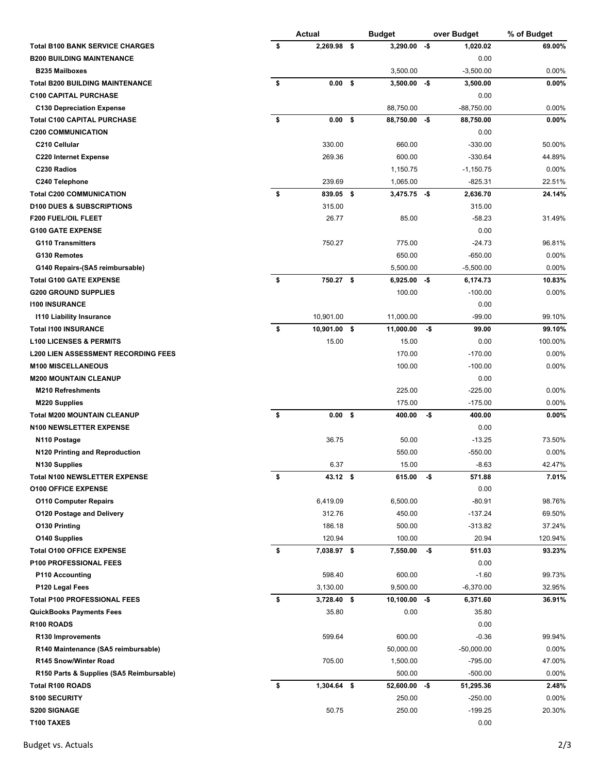|                                                                   | <b>Actual</b><br><b>Budget</b> |                   |    |                 | over Budget | % of Budget  |          |
|-------------------------------------------------------------------|--------------------------------|-------------------|----|-----------------|-------------|--------------|----------|
| <b>Total B100 BANK SERVICE CHARGES</b>                            | \$                             | 2,269.98          | \$ | 3,290.00        | -\$         | 1,020.02     | 69.00%   |
| <b>B200 BUILDING MAINTENANCE</b>                                  |                                |                   |    |                 |             | 0.00         |          |
| <b>B235 Mailboxes</b>                                             |                                |                   |    | 3,500.00        |             | $-3,500.00$  | $0.00\%$ |
| <b>Total B200 BUILDING MAINTENANCE</b>                            | \$                             | 0.00 <sup>5</sup> |    | 3,500.00        | -\$         | 3,500.00     | 0.00%    |
| <b>C100 CAPITAL PURCHASE</b>                                      |                                |                   |    |                 |             | 0.00         |          |
| <b>C130 Depreciation Expense</b>                                  |                                |                   |    | 88,750.00       |             | $-88,750.00$ | $0.00\%$ |
| <b>Total C100 CAPITAL PURCHASE</b>                                | \$                             | 0.00 <sup>5</sup> |    | 88,750.00 -\$   |             | 88,750.00    | 0.00%    |
| <b>C200 COMMUNICATION</b>                                         |                                |                   |    |                 |             | 0.00         |          |
| C210 Cellular                                                     |                                | 330.00            |    | 660.00          |             | $-330.00$    | 50.00%   |
| <b>C220 Internet Expense</b>                                      |                                | 269.36            |    | 600.00          |             | $-330.64$    | 44.89%   |
| C230 Radios                                                       |                                |                   |    | 1,150.75        |             | $-1,150.75$  | $0.00\%$ |
| C240 Telephone                                                    |                                | 239.69            |    | 1,065.00        |             | $-825.31$    | 22.51%   |
| <b>Total C200 COMMUNICATION</b>                                   | \$                             | 839.05 \$         |    | $3,475.75 - $$  |             | 2,636.70     | 24.14%   |
| <b>D100 DUES &amp; SUBSCRIPTIONS</b>                              |                                | 315.00            |    |                 |             | 315.00       |          |
| <b>F200 FUEL/OIL FLEET</b>                                        |                                | 26.77             |    | 85.00           |             | $-58.23$     | 31.49%   |
| <b>G100 GATE EXPENSE</b>                                          |                                |                   |    |                 |             | 0.00         |          |
| <b>G110 Transmitters</b>                                          |                                | 750.27            |    | 775.00          |             | $-24.73$     | 96.81%   |
| G130 Remotes                                                      |                                |                   |    | 650.00          |             | $-650.00$    | 0.00%    |
| G140 Repairs-(SA5 reimbursable)                                   |                                |                   |    | 5,500.00        |             | $-5,500.00$  | $0.00\%$ |
| <b>Total G100 GATE EXPENSE</b>                                    | \$                             | 750.27 \$         |    | $6,925.00 - $$  |             | 6,174.73     | 10.83%   |
| <b>G200 GROUND SUPPLIES</b>                                       |                                |                   |    | 100.00          |             | $-100.00$    | $0.00\%$ |
| <b>1100 INSURANCE</b>                                             |                                |                   |    |                 |             | 0.00         |          |
| <b>1110 Liability Insurance</b>                                   |                                | 10,901.00         |    | 11,000.00       |             | $-99.00$     | 99.10%   |
| <b>Total I100 INSURANCE</b>                                       | \$                             | 10,901.00         | \$ | 11,000.00       | -\$         | 99.00        | 99.10%   |
| <b>L100 LICENSES &amp; PERMITS</b>                                |                                | 15.00             |    | 15.00           |             | 0.00         | 100.00%  |
| <b>L200 LIEN ASSESSMENT RECORDING FEES</b>                        |                                |                   |    | 170.00          |             | $-170.00$    | $0.00\%$ |
| <b>M100 MISCELLANEOUS</b>                                         |                                |                   |    | 100.00          |             | $-100.00$    | $0.00\%$ |
| <b>M200 MOUNTAIN CLEANUP</b>                                      |                                |                   |    |                 |             | 0.00         |          |
| <b>M210 Refreshments</b>                                          |                                |                   |    | 225.00          |             | $-225.00$    | $0.00\%$ |
| <b>M220 Supplies</b>                                              |                                |                   |    | 175.00          |             | $-175.00$    | 0.00%    |
| <b>Total M200 MOUNTAIN CLEANUP</b>                                | \$                             | 0.00 <sup>5</sup> |    | 400.00          | -\$         | 400.00       | $0.00\%$ |
| N100 NEWSLETTER EXPENSE                                           |                                |                   |    |                 |             | 0.00         |          |
| N <sub>110</sub> Postage                                          |                                | 36.75             |    | 50.00           |             | $-13.25$     | 73.50%   |
| N120 Printing and Reproduction                                    |                                |                   |    | 550.00          |             | $-550.00$    | $0.00\%$ |
|                                                                   |                                | 6.37              |    | 15.00           |             | $-8.63$      | 42.47%   |
| N <sub>130</sub> Supplies<br><b>Total N100 NEWSLETTER EXPENSE</b> | \$                             | 43.12 \$          |    | 615.00          | -\$         | 571.88       | 7.01%    |
| <b>O100 OFFICE EXPENSE</b>                                        |                                |                   |    |                 |             | 0.00         |          |
| <b>O110 Computer Repairs</b>                                      |                                | 6,419.09          |    | 6,500.00        |             | $-80.91$     | 98.76%   |
| <b>O120 Postage and Delivery</b>                                  |                                | 312.76            |    | 450.00          |             | -137.24      | 69.50%   |
| <b>O130 Printing</b>                                              |                                | 186.18            |    | 500.00          |             | -313.82      | 37.24%   |
| <b>O140 Supplies</b>                                              |                                | 120.94            |    | 100.00          |             | 20.94        | 120.94%  |
| <b>Total O100 OFFICE EXPENSE</b>                                  | \$                             | 7,038.97 \$       |    | 7,550.00        | -\$         | 511.03       | 93.23%   |
| <b>P100 PROFESSIONAL FEES</b>                                     |                                |                   |    |                 |             | 0.00         |          |
| <b>P110 Accounting</b>                                            |                                | 598.40            |    | 600.00          |             | $-1.60$      | 99.73%   |
| P120 Legal Fees                                                   |                                | 3,130.00          |    | 9,500.00        |             | $-6,370.00$  | 32.95%   |
| <b>Total P100 PROFESSIONAL FEES</b>                               | \$                             | 3,728.40 \$       |    | $10,100.00 - $$ |             | 6,371.60     | 36.91%   |
| <b>QuickBooks Payments Fees</b>                                   |                                | 35.80             |    | 0.00            |             | 35.80        |          |
| R100 ROADS                                                        |                                |                   |    |                 |             | 0.00         |          |
| R130 Improvements                                                 |                                | 599.64            |    | 600.00          |             | $-0.36$      | 99.94%   |
|                                                                   |                                |                   |    |                 |             |              |          |
| R140 Maintenance (SA5 reimbursable)                               |                                |                   |    | 50,000.00       |             | $-50,000.00$ | $0.00\%$ |
| <b>R145 Snow/Winter Road</b>                                      |                                | 705.00            |    | 1,500.00        |             | -795.00      | 47.00%   |
| R150 Parts & Supplies (SA5 Reimbursable)                          |                                |                   |    | 500.00          |             | $-500.00$    | $0.00\%$ |
| <b>Total R100 ROADS</b>                                           | \$                             | $1,304.64$ \$     |    | $52,600.00 - $$ |             | 51,295.36    | 2.48%    |
| <b>S100 SECURITY</b>                                              |                                |                   |    | 250.00          |             | $-250.00$    | 0.00%    |
| <b>S200 SIGNAGE</b>                                               |                                | 50.75             |    | 250.00          |             | $-199.25$    | 20.30%   |
| T100 TAXES                                                        |                                |                   |    |                 |             | 0.00         |          |